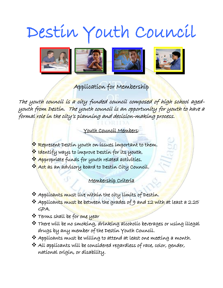# Destin Youth Council



## Application for Membership

The youth council is a city funded council composed of high school agedyouth from Destin. The youth council is an opportunity for youth to have a formal role in the city's planning and decision-making process.

### Youth Council Members:

í

- ❖ Represent Destin youth on issues important to them.
- $\bullet$  Identify ways to improve Destin for its youth.
- \* Appropriate funds for youth related activities.
- ❖ Act as an advisory board to Destin City Council.

## Membership Criteria i

- ❖ Applicants must live within the city limits of Destin.
- ❖ Applicants must be between the grades of 9 and 12 with at least a 2.25 GPA.
- ❖ Terms shall be for one year
- ❖ There will be no smoking, drinking alcoholic beverages or using illegal drugs by any member of the Destin Youth Council.
- ❖ Applicants must be willing to attend at least one meeting a month.
- ❖ All applicants will be considered regardless of race, color, gender, national origin, or disability.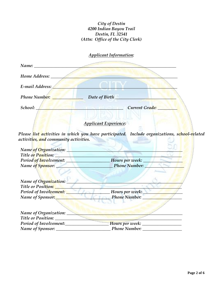#### *City of Destin 4200 Indian Bayou Trail Destin, FL 32541 (Attn: Office of the City Clerk)*

## *Applicant Information:*

| Name: Names                                                     |                                                                                              |
|-----------------------------------------------------------------|----------------------------------------------------------------------------------------------|
| Home Address:                                                   |                                                                                              |
| E-mail Address:                                                 |                                                                                              |
| <b>Phone Number:</b>                                            | Date of Birth                                                                                |
| School:                                                         | <b>Current Grade:</b>                                                                        |
|                                                                 | <b>Applicant Experience:</b>                                                                 |
| activities <mark>, and</mark> community activities.             | Please list activities in which you have participated. Include organizations, school-related |
|                                                                 | Name <mark>of Org</mark> anization: Name of Organization:                                    |
| Title or Position: <u>New York of The Contractor Contractor</u> |                                                                                              |
|                                                                 | Period of Involvement: Mours per week:                                                       |
|                                                                 | Name of Sponsor: <u>Name of Sponsor:</u> Name Number:                                        |
|                                                                 | Name of Organization:                                                                        |
| Title or Position:                                              |                                                                                              |
|                                                                 |                                                                                              |
| Name of Sponsor: Name of Sponsor:                               | <b>Example 21 Phone Number:</b>                                                              |
|                                                                 |                                                                                              |
|                                                                 |                                                                                              |
|                                                                 |                                                                                              |
|                                                                 |                                                                                              |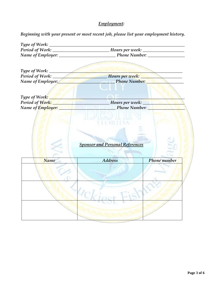## *Employment:*

 *Beginning with your present or most recent job, please list your employment history.*

| Type of Work: ______ |                                        |              |  |
|----------------------|----------------------------------------|--------------|--|
|                      |                                        |              |  |
| Name of Employer:    | <b>Example 21 Phone Number:</b>        |              |  |
|                      |                                        |              |  |
|                      |                                        |              |  |
| Type of Work:        |                                        |              |  |
| Period of Work:      | Mours per week:                        |              |  |
| Name of Employer:    | <b>Example 2</b> Phone Number:         |              |  |
|                      |                                        |              |  |
|                      |                                        |              |  |
|                      |                                        |              |  |
|                      |                                        |              |  |
|                      |                                        |              |  |
|                      |                                        |              |  |
|                      | <b>Sponsor and Personal References</b> |              |  |
|                      |                                        |              |  |
|                      |                                        |              |  |
| Name                 | <b>Address</b>                         | Phone number |  |
|                      |                                        |              |  |
|                      |                                        |              |  |
|                      |                                        |              |  |
|                      |                                        |              |  |
|                      |                                        |              |  |
|                      |                                        |              |  |
|                      |                                        |              |  |
|                      |                                        |              |  |
|                      |                                        |              |  |
|                      |                                        |              |  |
|                      |                                        |              |  |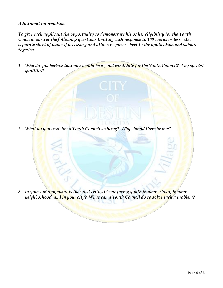#### *Additional Information:*

*To give each applicant the opportunity to demonstrate his or her eligibility for the Youth Council, answer the following questions limiting each response to 100 words or less. Use separate sheet of paper if necessary and attach response sheet to the application and submit together.* 

*1. Why do you believe that you would be a good candidate for the Youth Council? Any special qualities?*

*2. What do you envision a Youth Council as being? Why should there be one?*

*3. In your opinion, what is the most critical issue facing youth in your school, in your neighborhood, and in your city? What can a Youth Council do to solve such a problem?*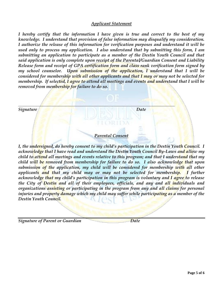#### *Applicant Statement*

*I hereby certify that the information I have given is true and correct to the best of my knowledge. I understand that provision of false information may disqualify my consideration. I authorize the release of this information for verification purposes and understand it will be used only to process my application. I also understand that by submitting this form, I am submitting an application to participate as a member of the Destin Youth Council and that said application is only complete upon receipt of the Parental/Guardian Consent and Liability Release form and receipt of GPA certification form and class rank verification form signed by my school counselor. Upon submission of the application, I understand that I will be considered for membership with all other applicants and that I may or may not be selected for membership. If selected, I agree to attend all meetings and events and understand that I will be removed from membership for failure to do so.* 



*I, the undersigned, do hereby consent to my child's participation in the Destin Youth Council. I acknowledge that I have read and understand the Destin Youth Council By-Laws and allow my child to attend all meetings and events relative to this program; and that I understand that my child will be removed from membership for failure to do so. I also acknowledge that upon submission of the application, my child will be considered for membership with all other applicants and that my child may or may not be selected for membership. I further acknowledge that my child's participation in this program is voluntary and I agree to release the City of Destin and all of their employees, officials, and any and all individuals and organizations assisting or participating in the program from any and all claims for personal injuries and property damage which my child may suffer while participating as a member of the Destin Youth Council.* 

*Signature of Parent or Guardian Date*